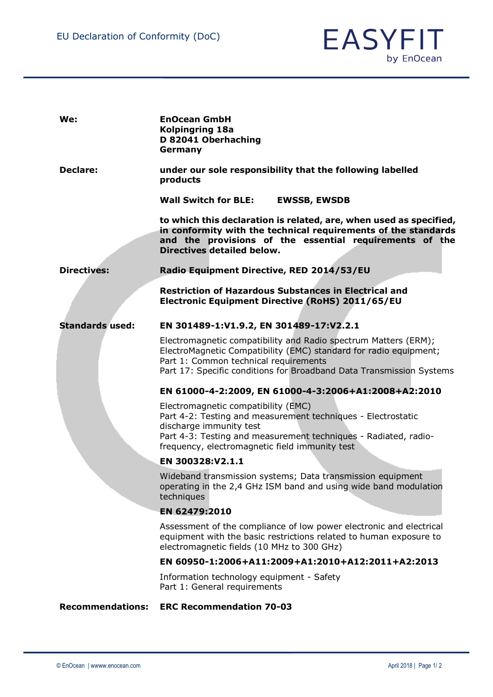

| We:                     | <b>EnOcean GmbH</b><br><b>Kolpingring 18a</b><br>D 82041 Oberhaching<br>Germany                                                                                                                                                                       |
|-------------------------|-------------------------------------------------------------------------------------------------------------------------------------------------------------------------------------------------------------------------------------------------------|
| Declare:                | under our sole responsibility that the following labelled<br>products                                                                                                                                                                                 |
|                         | <b>Wall Switch for BLE:</b><br><b>EWSSB, EWSDB</b>                                                                                                                                                                                                    |
|                         | to which this declaration is related, are, when used as specified,<br>in conformity with the technical requirements of the standards<br>and the provisions of the essential requirements of the<br><b>Directives detailed below.</b>                  |
| <b>Directives:</b>      | Radio Equipment Directive, RED 2014/53/EU                                                                                                                                                                                                             |
|                         | <b>Restriction of Hazardous Substances in Electrical and</b><br>Electronic Equipment Directive (RoHS) 2011/65/EU                                                                                                                                      |
| <b>Standards used:</b>  | EN 301489-1:V1.9.2, EN 301489-17:V2.2.1                                                                                                                                                                                                               |
|                         | Electromagnetic compatibility and Radio spectrum Matters (ERM);<br>ElectroMagnetic Compatibility (EMC) standard for radio equipment;<br>Part 1: Common technical requirements<br>Part 17: Specific conditions for Broadband Data Transmission Systems |
|                         | EN 61000-4-2:2009, EN 61000-4-3:2006+A1:2008+A2:2010                                                                                                                                                                                                  |
|                         | Electromagnetic compatibility (EMC)<br>Part 4-2: Testing and measurement techniques - Electrostatic<br>discharge immunity test<br>Part 4-3: Testing and measurement techniques - Radiated, radio-<br>frequency, electromagnetic field immunity test   |
|                         | EN 300328:V2.1.1                                                                                                                                                                                                                                      |
|                         | Wideband transmission systems; Data transmission equipment<br>operating in the 2,4 GHz ISM band and using wide band modulation<br>techniques                                                                                                          |
|                         | EN 62479:2010                                                                                                                                                                                                                                         |
|                         | Assessment of the compliance of low power electronic and electrical<br>equipment with the basic restrictions related to human exposure to<br>electromagnetic fields (10 MHz to 300 GHz)                                                               |
|                         | EN 60950-1:2006+A11:2009+A1:2010+A12:2011+A2:2013                                                                                                                                                                                                     |
|                         | Information technology equipment - Safety<br>Part 1: General requirements                                                                                                                                                                             |
| <b>Recommendations:</b> | <b>ERC Recommendation 70-03</b>                                                                                                                                                                                                                       |